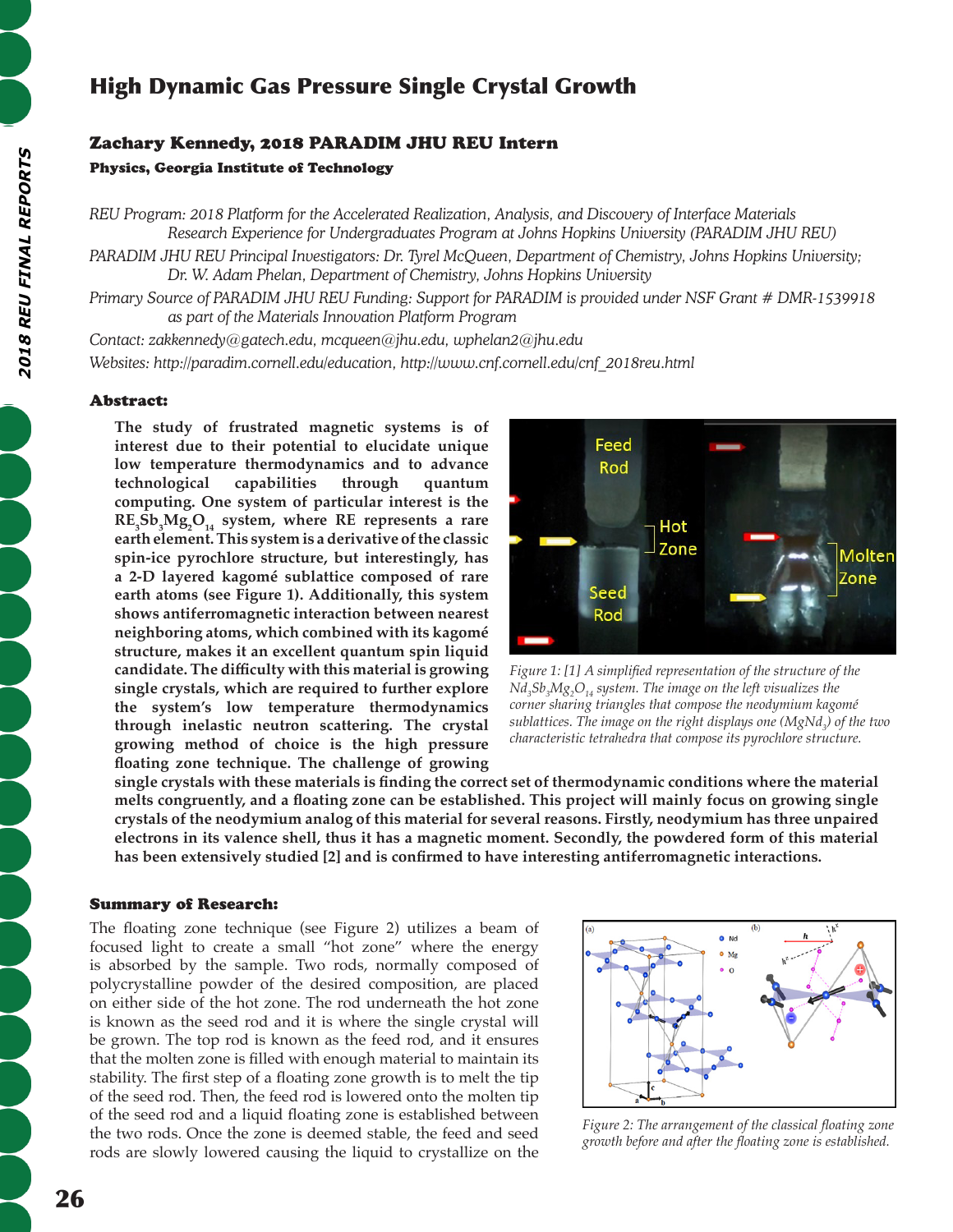# High Dynamic Gas Pressure Single Crystal Growth

## Zachary Kennedy, 2018 PARADIM JHU REU Intern

## Physics, Georgia Institute of Technology

*REU Program: 2018 Platform for the Accelerated Realization, Analysis, and Discovery of Interface Materials Research Experience for Undergraduates Program at Johns Hopkins University (PARADIM JHU REU)*

PARADIM JHU REU Principal Investigators: Dr. Tyrel McQueen, Department of Chemistry, Johns Hopkins University; *Dr. W. Adam Phelan, Department of Chemistry, Johns Hopkins University*

*Primary Source of PARADIM JHU REU Funding: Support for PARADIM is provided under NSF Grant # DMR-1539918 as part of the Materials Innovation Platform Program*

*Contact: zakkennedy@gatech.edu, mcqueen@jhu.edu, wphelan2@jhu.edu Websites: http://paradim.cornell.edu/education, http://www.cnf.cornell.edu/cnf\_2018reu.html*

## Abstract:

**The study of frustrated magnetic systems is of interest due to their potential to elucidate unique low temperature thermodynamics and to advance technological capabilities through quantum computing. One system of particular interest is the**   $RE_{3}Sb_{3}Mg_{2}O_{14}$  system, where RE represents a rare **earth element. This system is a derivative of the classic spin-ice pyrochlore structure, but interestingly, has a 2-D layered kagomé sublattice composed of rare earth atoms (see Figure 1). Additionally, this system shows antiferromagnetic interaction between nearest neighboring atoms, which combined with its kagomé structure, makes it an excellent quantum spin liquid candidate. The difficulty with this material is growing single crystals, which are required to further explore the system's low temperature thermodynamics through inelastic neutron scattering. The crystal growing method of choice is the high pressure floating zone technique. The challenge of growing** 



*Figure 1: [1] A simplified representation of the structure of the Nd3 Sb3 Mg2 O14 system. The image on the left visualizes the corner sharing triangles that compose the neodymium kagomé sublattices. The image on the right displays one (MgNd<sup>3</sup> ) of the two characteristic tetrahedra that compose its pyrochlore structure.*

**single crystals with these materials is finding the correct set of thermodynamic conditions where the material melts congruently, and a floating zone can be established. This project will mainly focus on growing single crystals of the neodymium analog of this material for several reasons. Firstly, neodymium has three unpaired electrons in its valence shell, thus it has a magnetic moment. Secondly, the powdered form of this material has been extensively studied [2] and is confirmed to have interesting antiferromagnetic interactions.**

#### Summary of Research:

The floating zone technique (see Figure 2) utilizes a beam of focused light to create a small "hot zone" where the energy is absorbed by the sample. Two rods, normally composed of polycrystalline powder of the desired composition, are placed on either side of the hot zone. The rod underneath the hot zone is known as the seed rod and it is where the single crystal will be grown. The top rod is known as the feed rod, and it ensures that the molten zone is filled with enough material to maintain its stability. The first step of a floating zone growth is to melt the tip of the seed rod. Then, the feed rod is lowered onto the molten tip of the seed rod and a liquid floating zone is established between the two rods. Once the zone is deemed stable, the feed and seed rods are slowly lowered causing the liquid to crystallize on the



*Figure 2: The arrangement of the classical floating zone growth before and after the floating zone is established.*